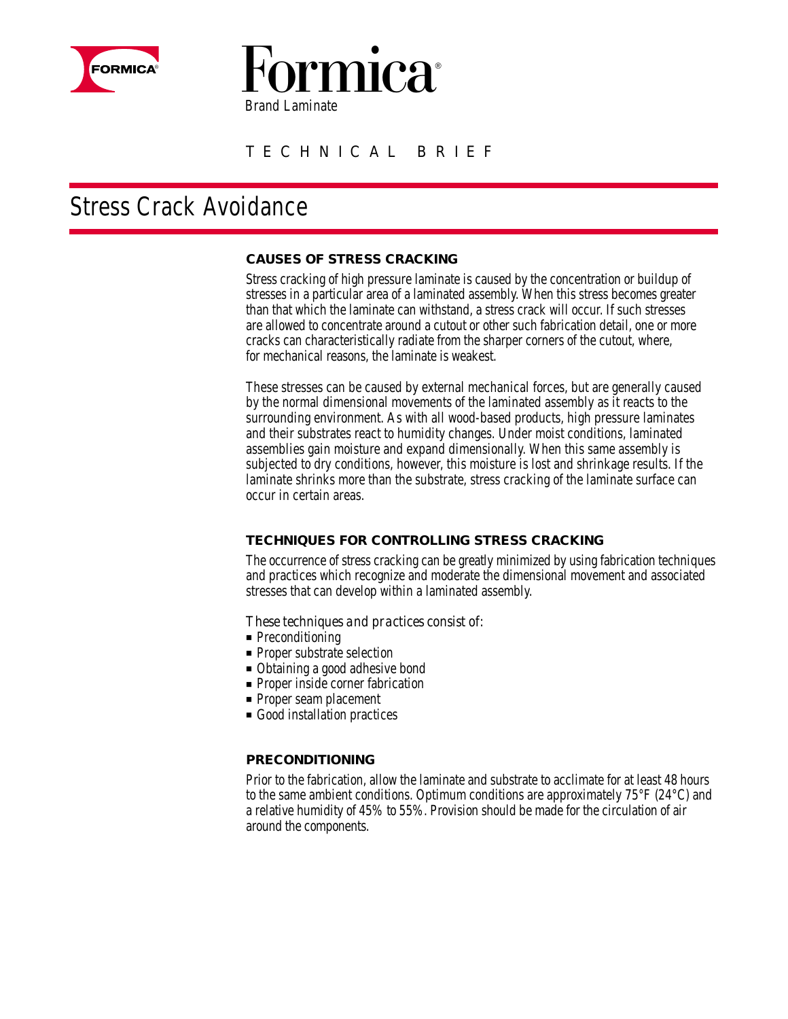



# TECHNICAL BRIEF

# Stress Crack Avoidance

### **CAUSES OF STRESS CRACKING**

Stress cracking of high pressure laminate is caused by the concentration or buildup of stresses in a particular area of a laminated assembly. When this stress becomes greater than that which the laminate can withstand, a stress crack will occur. If such stresses are allowed to concentrate around a cutout or other such fabrication detail, one or more cracks can characteristically radiate from the sharper corners of the cutout, where, for mechanical reasons, the laminate is weakest.

These stresses can be caused by external mechanical forces, but are generally caused by the normal dimensional movements of the laminated assembly as it reacts to the surrounding environment. As with all wood-based products, high pressure laminates and their substrates react to humidity changes. Under moist conditions, laminated assemblies gain moisture and expand dimensionally. When this same assembly is subjected to dry conditions, however, this moisture is lost and shrinkage results. If the laminate shrinks more than the substrate, stress cracking of the laminate surface can occur in certain areas.

# **TECHNIQUES FOR CONTROLLING STRESS CRACKING**

The occurrence of stress cracking can be greatly minimized by using fabrication techniques and practices which recognize and moderate the dimensional movement and associated stresses that can develop within a laminated assembly.

# *These techniques and practices consist of:*

- Preconditioning
- Proper substrate selection
- Obtaining a good adhesive bond
- Proper inside corner fabrication
- Proper seam placement
- Good installation practices

# **PRECONDITIONING**

Prior to the fabrication, allow the laminate and substrate to acclimate for at least 48 hours to the same ambient conditions. Optimum conditions are approximately 75°F (24°C) and a relative humidity of 45% to 55%. Provision should be made for the circulation of air around the components.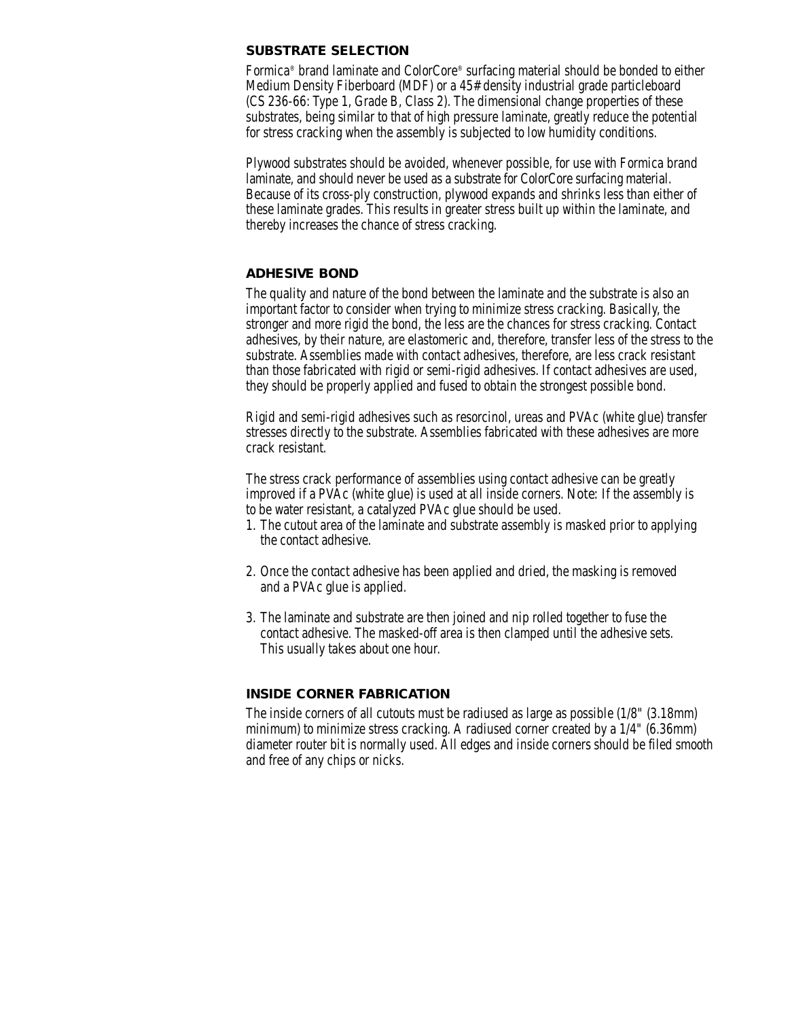#### **SUBSTRATE SELECTION**

Formica® brand laminate and ColorCore® surfacing material should be bonded to either Medium Density Fiberboard (MDF) or a 45# density industrial grade particleboard (CS 236-66: Type 1, Grade B, Class 2). The dimensional change properties of these substrates, being similar to that of high pressure laminate, greatly reduce the potential for stress cracking when the assembly is subjected to low humidity conditions.

Plywood substrates should be avoided, whenever possible, for use with Formica brand laminate, and should never be used as a substrate for ColorCore surfacing material. Because of its cross-ply construction, plywood expands and shrinks less than either of these laminate grades. This results in greater stress built up within the laminate, and thereby increases the chance of stress cracking.

# **ADHESIVE BOND**

The quality and nature of the bond between the laminate and the substrate is also an important factor to consider when trying to minimize stress cracking. Basically, the stronger and more rigid the bond, the less are the chances for stress cracking. Contact adhesives, by their nature, are elastomeric and, therefore, transfer less of the stress to the substrate. Assemblies made with contact adhesives, therefore, are less crack resistant than those fabricated with rigid or semi-rigid adhesives. If contact adhesives are used, they should be properly applied and fused to obtain the strongest possible bond.

Rigid and semi-rigid adhesives such as resorcinol, ureas and PVAc (white glue) transfer stresses directly to the substrate. Assemblies fabricated with these adhesives are more crack resistant.

The stress crack performance of assemblies using contact adhesive can be greatly improved if a PVAc (white glue) is used at all inside corners. *Note:* If the assembly is to be water resistant, a catalyzed PVAc glue should be used.

- 1. The cutout area of the laminate and substrate assembly is masked prior to applying the contact adhesive.
- 2. Once the contact adhesive has been applied and dried, the masking is removed and a PVAc glue is applied.
- 3. The laminate and substrate are then joined and nip rolled together to fuse the contact adhesive. The masked-off area is then clamped until the adhesive sets. This usually takes about one hour.

#### **INSIDE CORNER FABRICATION**

The inside corners of all cutouts must be radiused as large as possible (1/8" (3.18mm) minimum) to minimize stress cracking. A radiused corner created by a 1/4" (6.36mm) diameter router bit is normally used. All edges and inside corners should be filed smooth and free of any chips or nicks.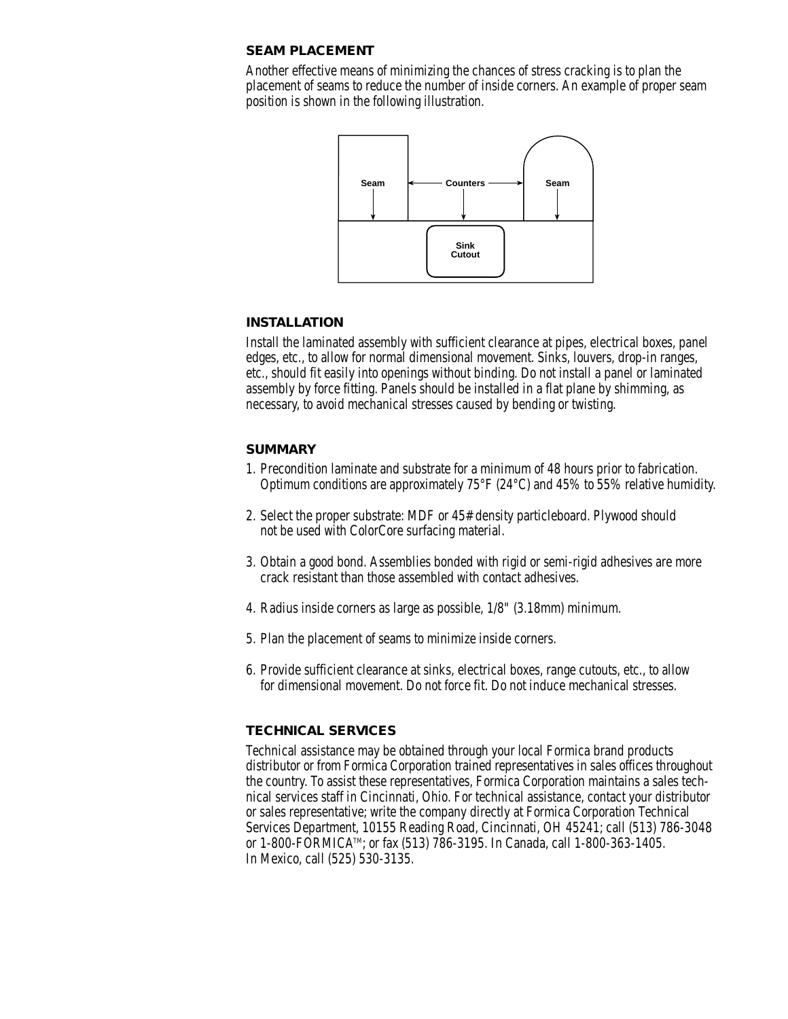#### **SEAM PLACEMENT**

Another effective means of minimizing the chances of stress cracking is to plan the placement of seams to reduce the number of inside corners. An example of proper seam position is shown in the following illustration.



#### **INSTALLATION**

Install the laminated assembly with sufficient clearance at pipes, electrical boxes, panel edges, etc., to allow for normal dimensional movement. Sinks, louvers, drop-in ranges, etc., should fit easily into openings without binding. Do not install a panel or laminated assembly by force fitting. Panels should be installed in a flat plane by shimming, as necessary, to avoid mechanical stresses caused by bending or twisting.

#### **SUMMARY**

- 1. Precondition laminate and substrate for a minimum of 48 hours prior to fabrication. Optimum conditions are approximately 75°F (24°C) and 45% to 55% relative humidity.
- 2. Select the proper substrate: MDF or 45# density particleboard. Plywood should not be used with ColorCore surfacing material.
- 3. Obtain a good bond. Assemblies bonded with rigid or semi-rigid adhesives are more crack resistant than those assembled with contact adhesives.
- 4. Radius inside corners as large as possible, 1/8" (3.18mm) minimum.
- 5. Plan the placement of seams to minimize inside corners.
- 6. Provide sufficient clearance at sinks, electrical boxes, range cutouts, etc., to allow for dimensional movement. Do not force fit. Do not induce mechanical stresses.

#### **TECHNICAL SERVICES**

Technical assistance may be obtained through your local Formica brand products distributor or from Formica Corporation trained representatives in sales offices throughout the country. To assist these representatives, Formica Corporation maintains a sales technical services staff in Cincinnati, Ohio. For technical assistance, contact your distributor or sales representative; write the company directly at Formica Corporation Technical Services Department, 10155 Reading Road, Cincinnati, OH 45241; call (513) 786-3048 or 1-800-FORMICATM; or fax (513) 786-3195. In Canada, call 1-800-363-1405. In Mexico, call (525) 530-3135.